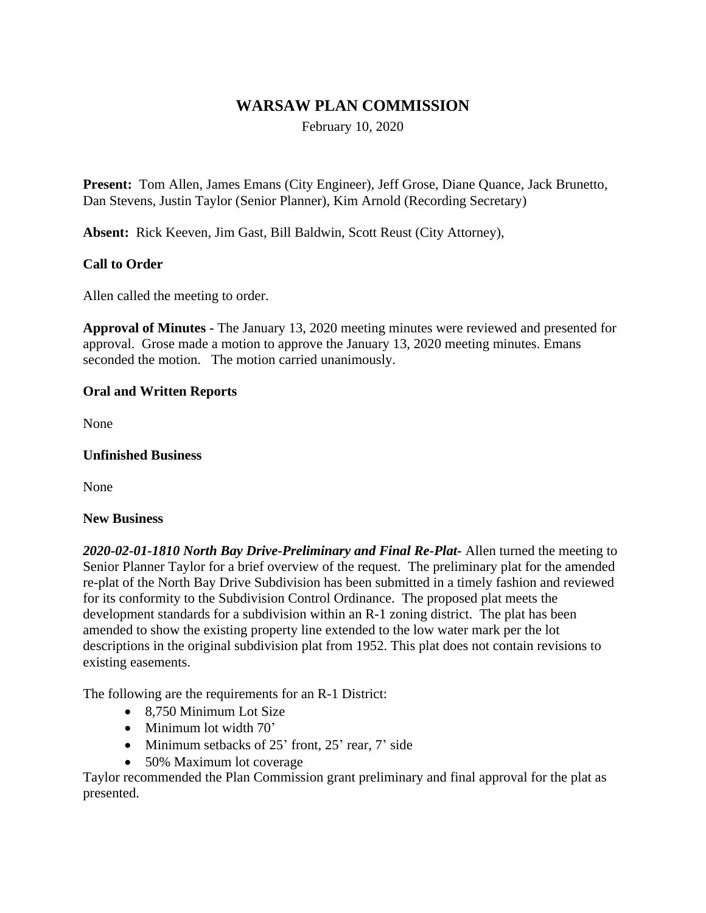# **WARSAW PLAN COMMISSION**

February 10, 2020

**Present:** Tom Allen, James Emans (City Engineer), Jeff Grose, Diane Quance, Jack Brunetto, Dan Stevens, Justin Taylor (Senior Planner), Kim Arnold (Recording Secretary)

**Absent:** Rick Keeven, Jim Gast, Bill Baldwin, Scott Reust (City Attorney),

## **Call to Order**

Allen called the meeting to order.

**Approval of Minutes -** The January 13, 2020 meeting minutes were reviewed and presented for approval. Grose made a motion to approve the January 13, 2020 meeting minutes. Emans seconded the motion. The motion carried unanimously.

### **Oral and Written Reports**

None

### **Unfinished Business**

None

#### **New Business**

*2020-02-01-1810 North Bay Drive-Preliminary and Final Re-Plat-* Allen turned the meeting to Senior Planner Taylor for a brief overview of the request. The preliminary plat for the amended re-plat of the North Bay Drive Subdivision has been submitted in a timely fashion and reviewed for its conformity to the Subdivision Control Ordinance. The proposed plat meets the development standards for a subdivision within an R-1 zoning district. The plat has been amended to show the existing property line extended to the low water mark per the lot descriptions in the original subdivision plat from 1952. This plat does not contain revisions to existing easements.

The following are the requirements for an R-1 District:

- 8.750 Minimum Lot Size
- Minimum lot width 70'
- Minimum setbacks of 25' front, 25' rear, 7' side
- 50% Maximum lot coverage

Taylor recommended the Plan Commission grant preliminary and final approval for the plat as presented.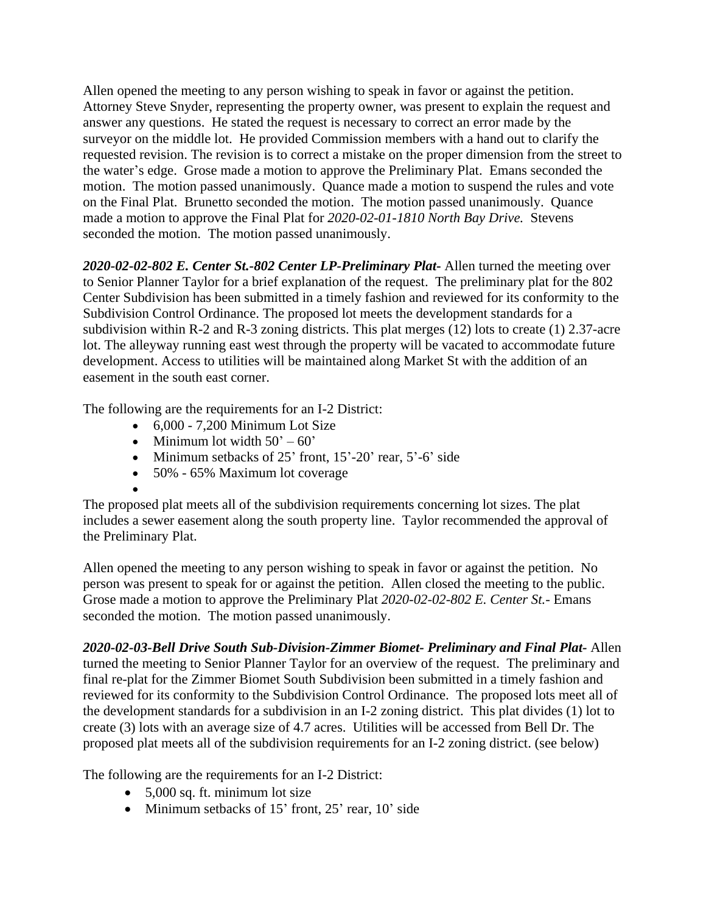Allen opened the meeting to any person wishing to speak in favor or against the petition. Attorney Steve Snyder, representing the property owner, was present to explain the request and answer any questions. He stated the request is necessary to correct an error made by the surveyor on the middle lot. He provided Commission members with a hand out to clarify the requested revision. The revision is to correct a mistake on the proper dimension from the street to the water's edge. Grose made a motion to approve the Preliminary Plat. Emans seconded the motion. The motion passed unanimously. Quance made a motion to suspend the rules and vote on the Final Plat. Brunetto seconded the motion. The motion passed unanimously. Quance made a motion to approve the Final Plat for *2020-02-01-1810 North Bay Drive.* Stevens seconded the motion. The motion passed unanimously.

*2020-02-02-802 E. Center St.-802 Center LP-Preliminary Plat***-** Allen turned the meeting over to Senior Planner Taylor for a brief explanation of the request. The preliminary plat for the 802 Center Subdivision has been submitted in a timely fashion and reviewed for its conformity to the Subdivision Control Ordinance. The proposed lot meets the development standards for a subdivision within R-2 and R-3 zoning districts. This plat merges (12) lots to create (1) 2.37-acre lot. The alleyway running east west through the property will be vacated to accommodate future development. Access to utilities will be maintained along Market St with the addition of an easement in the south east corner.

The following are the requirements for an I-2 District:

- $\bullet$  6,000 7,200 Minimum Lot Size
- Minimum lot width  $50^\circ 60^\circ$
- Minimum setbacks of 25' front, 15'-20' rear, 5'-6' side
- 50% 65% Maximum lot coverage
- $\bullet$

The proposed plat meets all of the subdivision requirements concerning lot sizes. The plat includes a sewer easement along the south property line. Taylor recommended the approval of the Preliminary Plat.

Allen opened the meeting to any person wishing to speak in favor or against the petition. No person was present to speak for or against the petition. Allen closed the meeting to the public. Grose made a motion to approve the Preliminary Plat *2020-02-02-802 E. Center St.-* Emans seconded the motion. The motion passed unanimously.

*2020-02-03-Bell Drive South Sub-Division-Zimmer Biomet- Preliminary and Final Plat-* Allen turned the meeting to Senior Planner Taylor for an overview of the request. The preliminary and final re-plat for the Zimmer Biomet South Subdivision been submitted in a timely fashion and reviewed for its conformity to the Subdivision Control Ordinance. The proposed lots meet all of the development standards for a subdivision in an I-2 zoning district. This plat divides (1) lot to create (3) lots with an average size of 4.7 acres. Utilities will be accessed from Bell Dr. The proposed plat meets all of the subdivision requirements for an I-2 zoning district. (see below)

The following are the requirements for an I-2 District:

- 5,000 sq. ft. minimum lot size
- Minimum setbacks of 15' front, 25' rear, 10' side